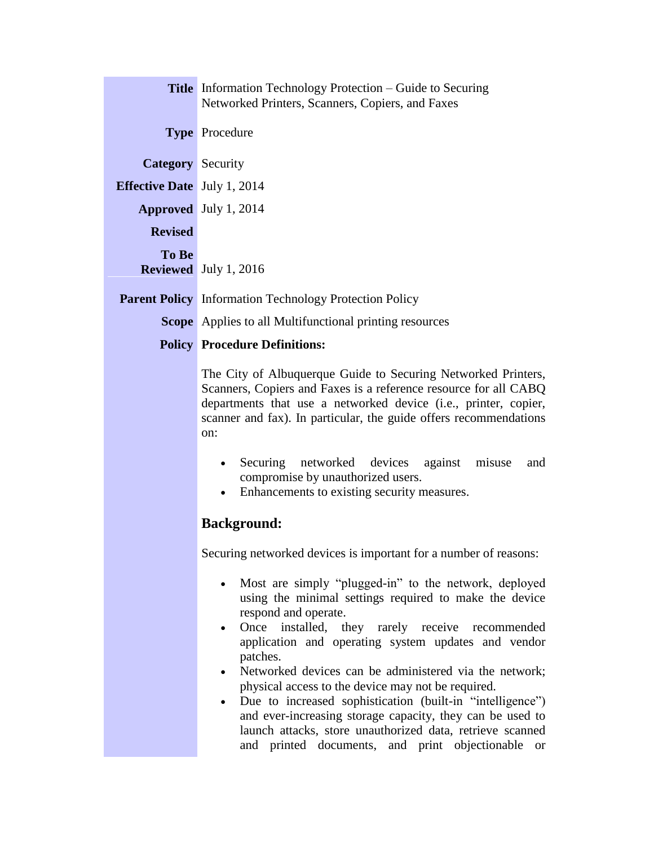|                                    | <b>Title</b> Information Technology Protection – Guide to Securing<br>Networked Printers, Scanners, Copiers, and Faxes                                                                                                                                                                                                                                                                                                                                                                                                                                                                                                    |
|------------------------------------|---------------------------------------------------------------------------------------------------------------------------------------------------------------------------------------------------------------------------------------------------------------------------------------------------------------------------------------------------------------------------------------------------------------------------------------------------------------------------------------------------------------------------------------------------------------------------------------------------------------------------|
|                                    | <b>Type Procedure</b>                                                                                                                                                                                                                                                                                                                                                                                                                                                                                                                                                                                                     |
| <b>Category</b> Security           |                                                                                                                                                                                                                                                                                                                                                                                                                                                                                                                                                                                                                           |
| <b>Effective Date</b> July 1, 2014 |                                                                                                                                                                                                                                                                                                                                                                                                                                                                                                                                                                                                                           |
|                                    | Approved July 1, 2014                                                                                                                                                                                                                                                                                                                                                                                                                                                                                                                                                                                                     |
| <b>Revised</b>                     |                                                                                                                                                                                                                                                                                                                                                                                                                                                                                                                                                                                                                           |
| To Be                              | <b>Reviewed</b> July 1, 2016                                                                                                                                                                                                                                                                                                                                                                                                                                                                                                                                                                                              |
|                                    | <b>Parent Policy</b> Information Technology Protection Policy                                                                                                                                                                                                                                                                                                                                                                                                                                                                                                                                                             |
|                                    | <b>Scope</b> Applies to all Multifunctional printing resources                                                                                                                                                                                                                                                                                                                                                                                                                                                                                                                                                            |
|                                    | <b>Policy Procedure Definitions:</b>                                                                                                                                                                                                                                                                                                                                                                                                                                                                                                                                                                                      |
|                                    | The City of Albuquerque Guide to Securing Networked Printers,<br>Scanners, Copiers and Faxes is a reference resource for all CABQ<br>departments that use a networked device (i.e., printer, copier,<br>scanner and fax). In particular, the guide offers recommendations<br>on:<br>Securing networked devices against misuse<br>and<br>compromise by unauthorized users.<br>Enhancements to existing security measures.                                                                                                                                                                                                  |
|                                    | <b>Background:</b>                                                                                                                                                                                                                                                                                                                                                                                                                                                                                                                                                                                                        |
|                                    | Securing networked devices is important for a number of reasons:                                                                                                                                                                                                                                                                                                                                                                                                                                                                                                                                                          |
|                                    | Most are simply "plugged-in" to the network, deployed<br>using the minimal settings required to make the device<br>respond and operate.<br>Once installed, they rarely receive recommended<br>application and operating system updates and vendor<br>patches.<br>Networked devices can be administered via the network;<br>physical access to the device may not be required.<br>Due to increased sophistication (built-in "intelligence")<br>and ever-increasing storage capacity, they can be used to<br>launch attacks, store unauthorized data, retrieve scanned<br>and printed documents, and print objectionable or |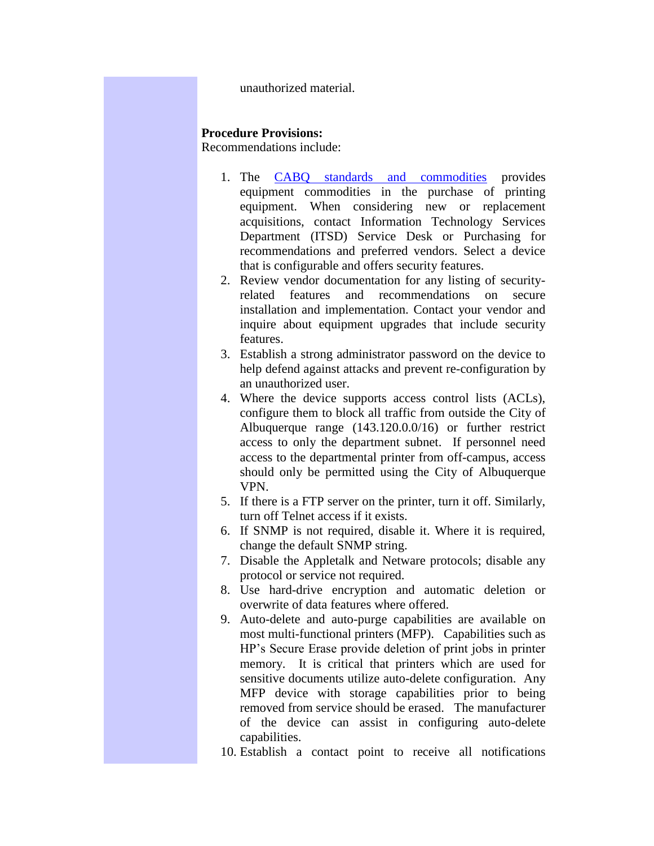unauthorized material.

## **Procedure Provisions:**

Recommendations include:

- 1. The [CABQ standards and commodities](http://alameda.cabq.gov/cityapps/policy.nsf/449da152733ba22587256f0c006a8cad/475d5f17755e345a87257895007e3073?OpenDocument) provides equipment commodities in the purchase of printing equipment. When considering new or replacement acquisitions, contact Information Technology Services Department (ITSD) Service Desk or Purchasing for recommendations and preferred vendors. Select a device that is configurable and offers security features.
- 2. Review vendor documentation for any listing of securityrelated features and recommendations on secure installation and implementation. Contact your vendor and inquire about equipment upgrades that include security features.
- 3. Establish a strong administrator password on the device to help defend against attacks and prevent re-configuration by an unauthorized user.
- 4. Where the device supports access control lists (ACLs), configure them to block all traffic from outside the City of Albuquerque range (143.120.0.0/16) or further restrict access to only the department subnet. If personnel need access to the departmental printer from off-campus, access should only be permitted using the City of Albuquerque VPN.
- 5. If there is a FTP server on the printer, turn it off. Similarly, turn off Telnet access if it exists.
- 6. If SNMP is not required, disable it. Where it is required, change the default SNMP string.
- 7. Disable the Appletalk and Netware protocols; disable any protocol or service not required.
- 8. Use hard-drive encryption and automatic deletion or overwrite of data features where offered.
- 9. Auto-delete and auto-purge capabilities are available on most multi-functional printers (MFP). Capabilities such as HP's Secure Erase provide deletion of print jobs in printer memory. It is critical that printers which are used for sensitive documents utilize auto-delete configuration. Any MFP device with storage capabilities prior to being removed from service should be erased. The manufacturer of the device can assist in configuring auto-delete capabilities.
- 10. Establish a contact point to receive all notifications